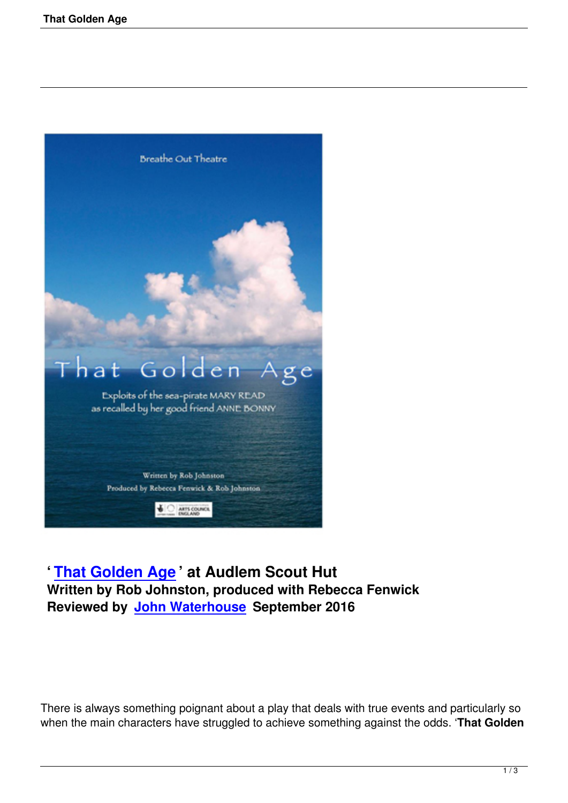

## **' That Golden Age ' at Audlem Scout Hut Written by Rob Johnston, produced with Rebecca Fenwick [Reviewed by John W](that-golden-age.html)aterhouse September 2016**

There is always something poignant about a play that deals with true events and particularly so when the main characters have struggled to achieve something against the odds. '**That Golden**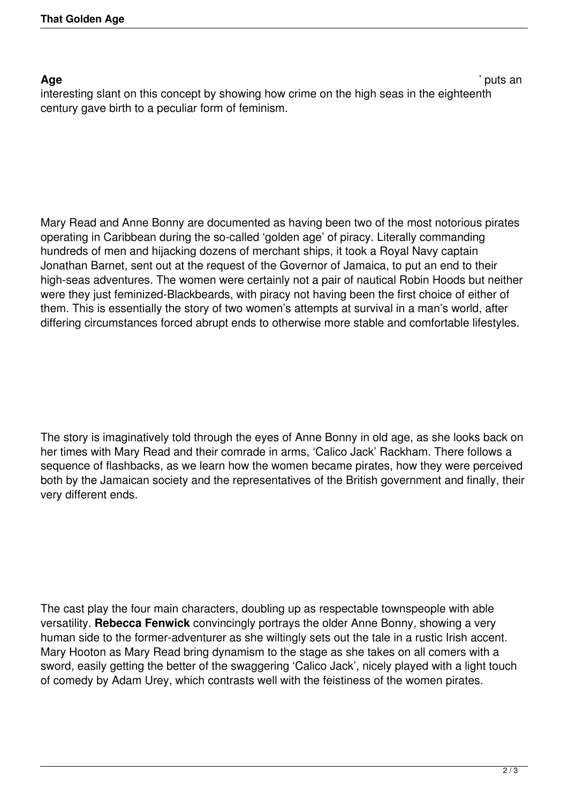**Age** ' puts an

interesting slant on this concept by showing how crime on the high seas in the eighteenth century gave birth to a peculiar form of feminism.

Mary Read and Anne Bonny are documented as having been two of the most notorious pirates operating in Caribbean during the so-called 'golden age' of piracy. Literally commanding hundreds of men and hijacking dozens of merchant ships, it took a Royal Navy captain Jonathan Barnet, sent out at the request of the Governor of Jamaica, to put an end to their high-seas adventures. The women were certainly not a pair of nautical Robin Hoods but neither were they just feminized-Blackbeards, with piracy not having been the first choice of either of them. This is essentially the story of two women's attempts at survival in a man's world, after differing circumstances forced abrupt ends to otherwise more stable and comfortable lifestyles.

The story is imaginatively told through the eyes of Anne Bonny in old age, as she looks back on her times with Mary Read and their comrade in arms, 'Calico Jack' Rackham. There follows a sequence of flashbacks, as we learn how the women became pirates, how they were perceived both by the Jamaican society and the representatives of the British government and finally, their very different ends.

The cast play the four main characters, doubling up as respectable townspeople with able versatility. **Rebecca Fenwick** convincingly portrays the older Anne Bonny, showing a very human side to the former-adventurer as she wiltingly sets out the tale in a rustic Irish accent. Mary Hooton as Mary Read bring dynamism to the stage as she takes on all comers with a sword, easily getting the better of the swaggering 'Calico Jack', nicely played with a light touch of comedy by Adam Urey, which contrasts well with the feistiness of the women pirates.